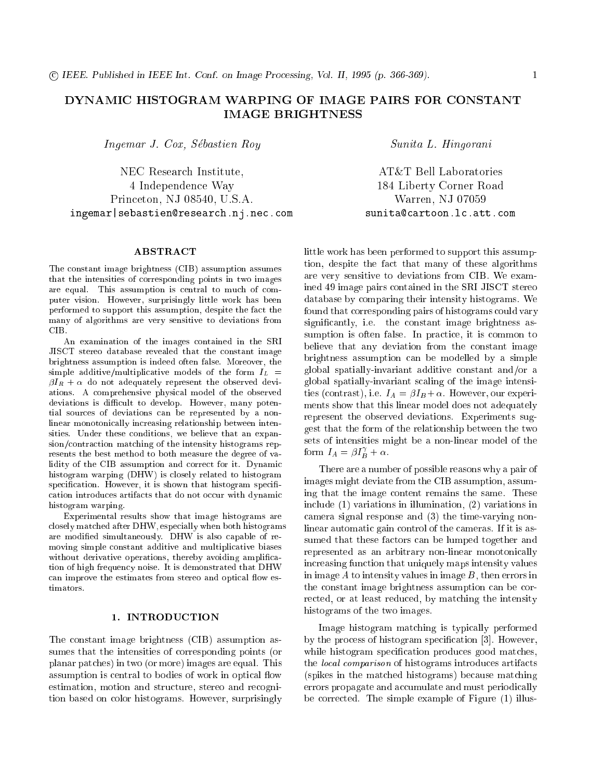# DYNAMIC HISTOGRAM WARPING OF IMAGE PAIRS FOR CONSTANT IMAGE BRIGHTNESS

Ingemar J. Cox, Sebastien Roy

NEC Research Institute, 4 Independence Way Princeton, NJ 08540, U.S.A. ingemar|sebastien@research.nj.nec.com

### ABSTRACT

The constant image brightness (CIB) assumption assumes that the intensities of corresponding points in two images are equal. This assumption is central to much of computer vision. However, surprisingly little work has been performed to support this assumption, despite the fact the many of algorithms are very sensitive to deviations from CIB.

An examination of the images contained in the SRI JISCT stereo database revealed that the constant image brightness assumption is indeed often false. Moreover, the simple additive/multiplicative models of the form  $I_L$  =  $\beta I_R + \alpha$  do not adequately represent the observed deviations. A comprehensive physical model of the observed deviations is difficult to develop. However, many potential sources of deviations can be represented by a nonlinear monotonically increasing relationship between intensities. Under these conditions, we believe that an expansion/contraction matching of the intensity histograms represents the best method to both measure the degree of validity of the CIB assumption and correct for it. Dynamic histogram warping (DHW) is closely related to histogram specification. However, it is shown that histogram specification introduces artifacts that do not occur with dynamic histogram warping.

Experimental results show that image histograms are closely matched after DHW, especially when both histograms are modied simultaneously. DHW is also capable of removing simple constant additive and multiplicative biases without derivative operations, thereby avoiding amplification of high frequency noise. It is demonstrated that DHW can improve the estimates from stereo and optical flow es-

## 1. INTRODUCTION

The constant image brightness (CIB) assumption assumes that the intensities of corresponding points (or planar patches) in two (or more) images are equal. This assumption is central to bodies of work in optical flow estimation, motion and structure, stereo and recognition based on color histograms. However, surprisingly

Sunita L. Hingorani

AT&T Bell Laboratories 184 Liberty Corner Road Warren, NJ 07059 sunita@cartoon.lc.att.com

little work has been performed to support this assumption, despite the fact that many of these algorithms are very sensitive to deviations from CIB. We examined 49 image pairs contained in the SRI JISCT stereo database by comparing their intensity histograms. We found that corresponding pairs of histograms could vary signicantly, i.e. the constant image brightness assumption is often false. In practice, it is common to believe that any deviation from the constant image brightness assumption can be modelled by a simple global spatially-invariant additive constant and/or a global spatially-invariant scaling of the image intensities (contrast), i.e.  $I_A = \beta I_B + \alpha$ . However, our experiments show that this linear model does not adequately represent the observed deviations. Experiments suggest that the form of the relationship between the two sets of intensities might be a non-linear model of the form  $I_A = \beta I_B^{\gamma} + \alpha$ .

There are a number of possible reasons why a pair of images might deviate from the CIB assumption, assuming that the image content remains the same. These include (1) variations in illumination, (2) variations in camera signal response and (3) the time-varying nonlinear automatic gain control of the cameras. If it is assumed that these factors can be lumped together and represented as an arbitrary non-linear monotonically increasing function that uniquely maps intensity values in image  $A$  to intensity values in image  $B$ , then errors in the constant image brightness assumption can be corrected, or at least reduced, by matching the intensity histograms of the two images.

Image histogram matching is typically performed by the process of histogram specification [3]. However, while histogram specification produces good matches, the local comparison of histograms introduces artifacts (spikes in the matched histograms) because matching errors propagate and accumulate and must periodically be corrected. The simple example of Figure (1) illus-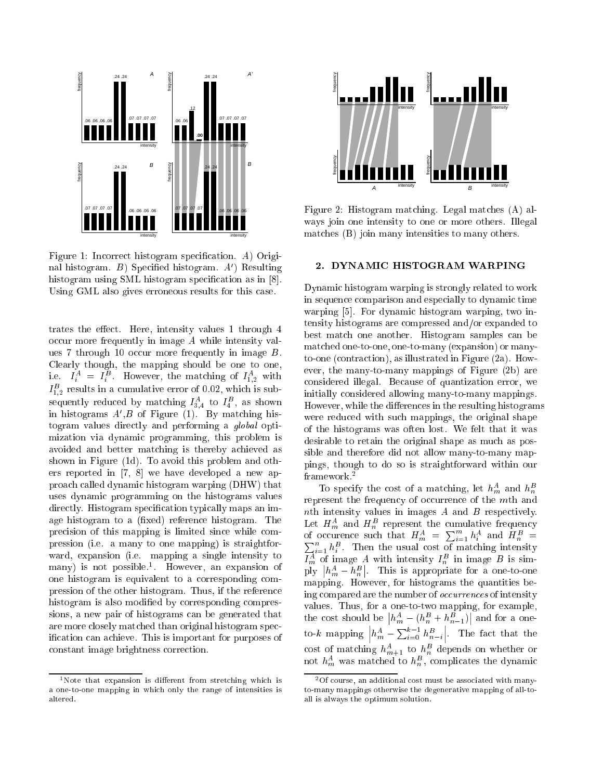

Figure 1: Incorrect histogram specification. A) Original histogram. B) Specified histogram.  $A'$ ) Resulting histogram using SML histogram specification as in [8]. Using GML also gives erroneous results for this case.

trates the effect. Here, intensity values 1 through 4 occur more frequently in image A while intensity values 7 through 10 occur more frequently in image B. Clearly though, the mapping should be one to one, i.e.  $I_i^A = I_i^B$ . However, the matching of  $I_{1,2}^A$  with  $I_{1,2}^B$  results in a cumulative error of 0.02, which is subsequently reduced by matching  $I_{3,4}^A$  to  $I_4^B$ , as shown in histograms  $A', B$  of Figure (1). By matching histogram values directly and performing a global optimization via dynamic programming, this problem is avoided and better matching is thereby achieved as shown in Figure (1d). To avoid this problem and others reported in [7, 8] we have developed a new approach called dynamic histogram warping (DHW) that uses dynamic programming on the histograms values directly. Histogram specification typically maps an image histogram to a (fixed) reference histogram. The precision of this mapping is limited since while compression (i.e. a many to one mapping) is straightforward, expansion (i.e. mapping a single intensity to many) is not possible.<sup>1</sup> . However, an expansion of one histogram is equivalent to a corresponding compression of the other histogram. Thus, if the reference histogram is also modified by corresponding compressions, a new pair of histograms can be generated that are more closely matched than original histogram specification can achieve. This is important for purposes of constant image brightness correction.





Figure 2: Histogram matching. Legal matches (A) always join one intensity to one or more others. Illegal matches (B) join many intensities to many others.

# 2. DYNAMIC HISTOGRAM WARPING

Dynamic histogram warping is strongly related to work in sequence comparison and especially to dynamic time warping [5]. For dynamic histogram warping, two intensity histograms are compressed and/or expanded to best match one another. Histogram samples can be matched one-to-one, one-to-many (expansion) or manyto-one (contraction), as illustrated in Figure (2a). However, the many-to-many mappings of Figure (2b) are considered illegal. Because of quantization error, we initially considered allowing many-to-many mappings. However, while the differences in the resulting histograms were reduced with such mappings, the original shape of the histograms was often lost. We felt that it was desirable to retain the original shape as much as possible and therefore did not allow many-to-many mapsible and therefore did not allow many-to-many-to-many-to-many pings, though to do so is straightforward within our framework.<sup>2</sup>

To specify the cost of a matching, let  $h_m^A$  and  $h_n^B$ represent the frequency of occurrence of the mth and nth intensity values in images  $A$  and  $B$  respectively. Let  $H_m^A$  and  $H_n^B$  represent the cumulative frequency<br>of occurence such that  $H_m^A = \sum_{i=1}^m h_i^A$  and  $H_n^B = \sum_{i=1}^n h_i^B$ . Then the usual cost of matching intensity<br> $H_m^A$  of image A with intensity  $H_n^B$  in image B i ply the players of the contract of the contract of the contract of the contract of the contract of the contract of the contract of the contract of the contract of the contract of the contract of the contract of the contrac  $|h_m^A-h_n^B|$ . This is appropriate for a one-to-one mapping. However, for histograms the quantities being compared are the number of occurrences of intensity values. Thus, for a one-to-two mapping, for example,  $|h_m^A - (h_n^B + h_{n-1}^B)|$  and for a oneto- $k$  mapping  $h_m^A - \sum_{i=0}^{k-1} h_{n-i}^B$   . The fact that the cost of matching  $h_{m+1}^A$  to  $h_n^B$  depends on whether or<br>not  $h_m^A$  was matched to  $h_n^B$ , complicates the dynamic

<sup>2</sup>Of course, an additional cost must be associated with manyto-many mappings otherwise the degenerative mapping of all-toall is always the optimum solution.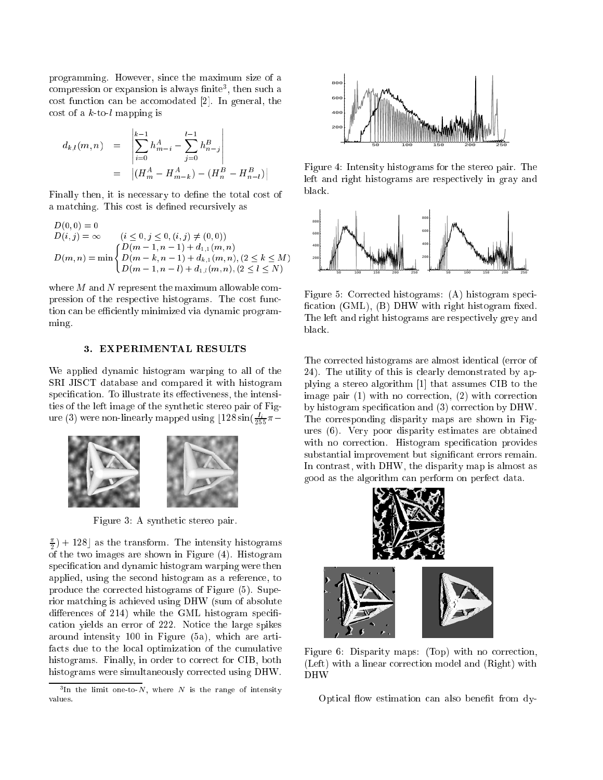programming. However, since the maximum size of a compression or expansion is always nnite<sup>-</sup>, then such a cost function can be accomodated [2]. In general, the cost of a  $k$ -to-l mapping is

$$
d_{k,l}(m,n) = \left| \sum_{i=0}^{k-1} h_{m-i}^A - \sum_{j=0}^{l-1} h_{n-j}^B \right|
$$
  
=  $|(H_m^A - H_{m-k}^A) - (H_n^B - H_{n-l}^B)|$ 

Finally then, it is necessary to define the total cost of a matching. This cost is defined recursively as

$$
D(0, 0) = 0
$$
  
\n
$$
D(i, j) = \infty
$$
  $(i \le 0, j \le 0, (i, j) \ne (0, 0))$   
\n
$$
D(m, n) = \min \begin{cases} D(m - 1, n - 1) + d_{1,1}(m, n) \\ D(m - k, n - 1) + d_{k,1}(m, n), (2 \le k \le M) \\ D(m - 1, n - l) + d_{1,l}(m, n), (2 \le l \le N) \end{cases}
$$

where  $M$  and  $N$  represent the maximum allowable compression of the respective histograms. The cost function can be efficiently minimized via dynamic programming.

# 3. EXPERIMENTAL RESULTS

We applied dynamic histogram warping to all of the SRI JISCT database and compared it with histogram specification. To illustrate its effectiveness, the intensities of the left image of the synthetic stereo pair of Figure (3) were non-linearly mapped using  $\lfloor 128 \sin(\frac{I_i}{255}\pi -$ 



Figure 3: A synthetic stereo pair.

 $(\frac{\pi}{2}) + 128$  as the transform. The intensity histograms  $\overline{\phantom{a}}$  $\sim$  the two images are shown in Figure (4). Histogram specication and dynamic histogram warping were then applied, using the second histogram as a reference, to produce the corrected histograms of Figure (5). Superior matching is achieved using DHW (sum of absolute differences of 214) while the GML histogram specification yields an error of 222. Notice the large spikes around intensity 100 in Figure (5a), which are artifacts due to the local optimization of the cumulative histograms. Finally, in order to correct for CIB, both histograms were simultaneously corrected using DHW.



Figure 4: Intensity histograms for the stereo pair. The left and right histograms are respectively in gray and black.



Figure 5: Corrected histograms: (A) histogram speci fication  $(GML)$ ,  $(B)$  DHW with right histogram fixed. The left and right histograms are respectively grey and black.

The corrected histograms are almost identical (error of 24). The utility of this is clearly demonstrated by applying a stereo algorithm [1] that assumes CIB to the image pair (1) with no correction, (2) with correction by histogram specification and (3) correction by DHW. The corresponding disparity maps are shown in Figures (6). Very poor disparity estimates are obtained with no correction. Histogram specification provides substantial improvement but signicant errors remain. In contrast, with DHW, the disparity map is almost as good as the algorithm can perform on perfect data.



Figure 6: Disparity maps: (Top) with no correction, (Left) with a linear correction model and (Right) with DHW

Optical flow estimation can also benefit from dy-

The the limit one-to-*i*v, where *i*ve is the range of intensity values.